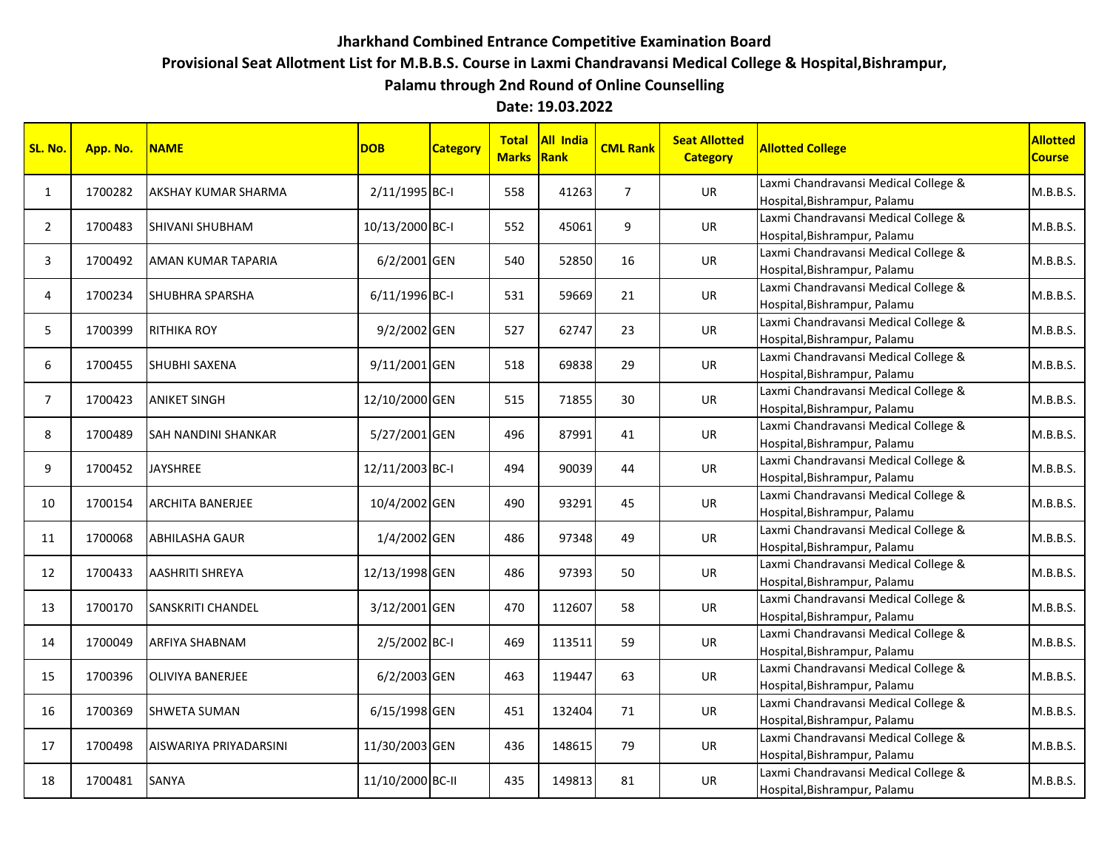## **Jharkhand Combined Entrance Competitive Examination Board**

**Provisional Seat Allotment List for M.B.B.S. Course in Laxmi Chandravansi Medical College & Hospital,Bishrampur,**

**Palamu through 2nd Round of Online Counselling**

**Date: 19.03.2022**

| SL. No.        | App. No. | <b>NAME</b>             | <b>DOB</b>       | <b>Category</b> | <b>Total</b><br><b>Marks</b> | All India<br>Rank | <b>CML Rank</b> | <b>Seat Allotted</b><br><b>Category</b> | <b>Allotted College</b>                                              | Allotted<br><b>Course</b> |
|----------------|----------|-------------------------|------------------|-----------------|------------------------------|-------------------|-----------------|-----------------------------------------|----------------------------------------------------------------------|---------------------------|
| $\mathbf{1}$   | 1700282  | AKSHAY KUMAR SHARMA     | 2/11/1995 BC-I   |                 | 558                          | 41263             | $\overline{7}$  | UR                                      | Laxmi Chandravansi Medical College &<br>Hospital, Bishrampur, Palamu | M.B.B.S.                  |
| 2              | 1700483  | SHIVANI SHUBHAM         | 10/13/2000 BC-I  |                 | 552                          | 45061             | 9               | UR                                      | Laxmi Chandravansi Medical College &<br>Hospital, Bishrampur, Palamu | M.B.B.S.                  |
| 3              | 1700492  | AMAN KUMAR TAPARIA      | 6/2/2001 GEN     |                 | 540                          | 52850             | 16              | UR                                      | Laxmi Chandravansi Medical College &<br>Hospital, Bishrampur, Palamu | M.B.B.S.                  |
| 4              | 1700234  | SHUBHRA SPARSHA         | 6/11/1996 BC-I   |                 | 531                          | 59669             | 21              | UR                                      | Laxmi Chandravansi Medical College &<br>Hospital, Bishrampur, Palamu | M.B.B.S.                  |
| 5              | 1700399  | <b>RITHIKA ROY</b>      | 9/2/2002 GEN     |                 | 527                          | 62747             | 23              | UR                                      | Laxmi Chandravansi Medical College &<br>Hospital, Bishrampur, Palamu | M.B.B.S.                  |
| 6              | 1700455  | SHUBHI SAXENA           | 9/11/2001 GEN    |                 | 518                          | 69838             | 29              | <b>UR</b>                               | Laxmi Chandravansi Medical College &<br>Hospital, Bishrampur, Palamu | M.B.B.S.                  |
| $\overline{7}$ | 1700423  | <b>ANIKET SINGH</b>     | 12/10/2000 GEN   |                 | 515                          | 71855             | 30              | UR                                      | Laxmi Chandravansi Medical College &<br>Hospital, Bishrampur, Palamu | M.B.B.S.                  |
| 8              | 1700489  | SAH NANDINI SHANKAR     | 5/27/2001 GEN    |                 | 496                          | 87991             | 41              | UR                                      | Laxmi Chandravansi Medical College &<br>Hospital, Bishrampur, Palamu | M.B.B.S.                  |
| 9              | 1700452  | <b>JAYSHREE</b>         | 12/11/2003 BC-I  |                 | 494                          | 90039             | 44              | UR                                      | Laxmi Chandravansi Medical College &<br>Hospital, Bishrampur, Palamu | M.B.B.S.                  |
| 10             | 1700154  | <b>ARCHITA BANERJEE</b> | 10/4/2002 GEN    |                 | 490                          | 93291             | 45              | UR                                      | Laxmi Chandravansi Medical College &<br>Hospital, Bishrampur, Palamu | M.B.B.S.                  |
| 11             | 1700068  | <b>ABHILASHA GAUR</b>   | 1/4/2002 GEN     |                 | 486                          | 97348             | 49              | <b>UR</b>                               | Laxmi Chandravansi Medical College &<br>Hospital, Bishrampur, Palamu | M.B.B.S.                  |
| 12             | 1700433  | AASHRITI SHREYA         | 12/13/1998 GEN   |                 | 486                          | 97393             | 50              | UR                                      | Laxmi Chandravansi Medical College &<br>Hospital, Bishrampur, Palamu | M.B.B.S.                  |
| 13             | 1700170  | SANSKRITI CHANDEL       | 3/12/2001 GEN    |                 | 470                          | 112607            | 58              | UR                                      | Laxmi Chandravansi Medical College &<br>Hospital, Bishrampur, Palamu | M.B.B.S.                  |
| 14             | 1700049  | ARFIYA SHABNAM          | 2/5/2002 BC-I    |                 | 469                          | 113511            | 59              | UR                                      | Laxmi Chandravansi Medical College &<br>Hospital, Bishrampur, Palamu | M.B.B.S.                  |
| 15             | 1700396  | OLIVIYA BANERJEE        | 6/2/2003 GEN     |                 | 463                          | 119447            | 63              | UR                                      | Laxmi Chandravansi Medical College &<br>Hospital, Bishrampur, Palamu | M.B.B.S.                  |
| 16             | 1700369  | <b>SHWETA SUMAN</b>     | 6/15/1998 GEN    |                 | 451                          | 132404            | 71              | <b>UR</b>                               | Laxmi Chandravansi Medical College &<br>Hospital, Bishrampur, Palamu | M.B.B.S.                  |
| 17             | 1700498  | AISWARIYA PRIYADARSINI  | 11/30/2003 GEN   |                 | 436                          | 148615            | 79              | UR                                      | Laxmi Chandravansi Medical College &<br>Hospital, Bishrampur, Palamu | M.B.B.S.                  |
| 18             | 1700481  | SANYA                   | 11/10/2000 BC-II |                 | 435                          | 149813            | 81              | UR                                      | Laxmi Chandravansi Medical College &<br>Hospital, Bishrampur, Palamu | M.B.B.S.                  |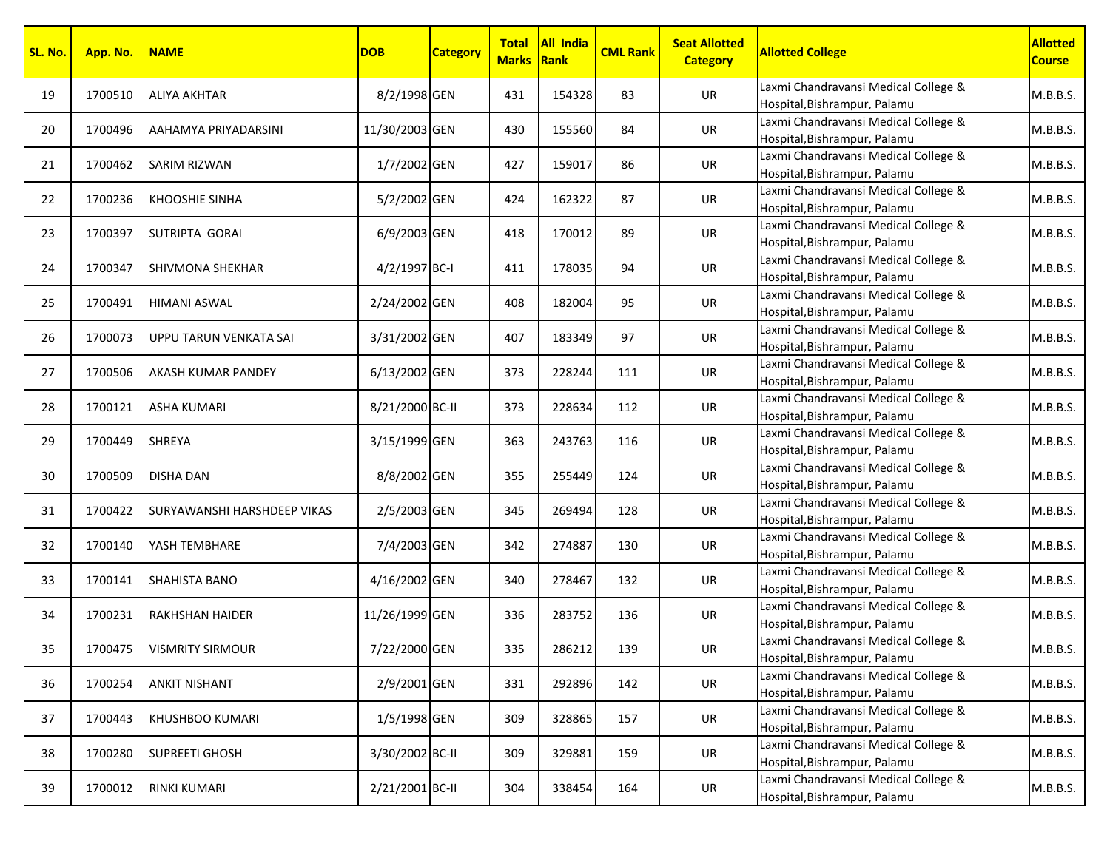| SL. No. | App. No. | <b>NAME</b>                 | <b>DOB</b>      | <b>Category</b> | <b>Marks Rank</b> | Total All India | <b>CML Rank</b> | <b>Seat Allotted</b><br><b>Category</b> | <b>Allotted College</b>                                              | <b>Allotted</b><br><b>Course</b> |
|---------|----------|-----------------------------|-----------------|-----------------|-------------------|-----------------|-----------------|-----------------------------------------|----------------------------------------------------------------------|----------------------------------|
| 19      | 1700510  | <b>ALIYA AKHTAR</b>         | 8/2/1998 GEN    |                 | 431               | 154328          | 83              | UR                                      | Laxmi Chandravansi Medical College &<br>Hospital, Bishrampur, Palamu | M.B.B.S.                         |
| 20      | 1700496  | AAHAMYA PRIYADARSINI        | 11/30/2003 GEN  |                 | 430               | 155560          | 84              | UR                                      | Laxmi Chandravansi Medical College &<br>Hospital, Bishrampur, Palamu | M.B.B.S.                         |
| 21      | 1700462  | SARIM RIZWAN                | 1/7/2002 GEN    |                 | 427               | 159017          | 86              | UR                                      | Laxmi Chandravansi Medical College &<br>Hospital, Bishrampur, Palamu | M.B.B.S.                         |
| 22      | 1700236  | <b>KHOOSHIE SINHA</b>       | 5/2/2002 GEN    |                 | 424               | 162322          | 87              | UR                                      | Laxmi Chandravansi Medical College &<br>Hospital, Bishrampur, Palamu | M.B.B.S.                         |
| 23      | 1700397  | SUTRIPTA GORAI              | 6/9/2003 GEN    |                 | 418               | 170012          | 89              | UR                                      | Laxmi Chandravansi Medical College &<br>Hospital, Bishrampur, Palamu | M.B.B.S.                         |
| 24      | 1700347  | SHIVMONA SHEKHAR            | 4/2/1997 BC-I   |                 | 411               | 178035          | 94              | <b>UR</b>                               | Laxmi Chandravansi Medical College &<br>Hospital, Bishrampur, Palamu | M.B.B.S.                         |
| 25      | 1700491  | <b>HIMANI ASWAL</b>         | 2/24/2002 GEN   |                 | 408               | 182004          | 95              | UR                                      | Laxmi Chandravansi Medical College &<br>Hospital, Bishrampur, Palamu | M.B.B.S.                         |
| 26      | 1700073  | UPPU TARUN VENKATA SAI      | 3/31/2002 GEN   |                 | 407               | 183349          | 97              | UR                                      | Laxmi Chandravansi Medical College &<br>Hospital, Bishrampur, Palamu | M.B.B.S.                         |
| 27      | 1700506  | AKASH KUMAR PANDEY          | 6/13/2002 GEN   |                 | 373               | 228244          | 111             | UR                                      | Laxmi Chandravansi Medical College &<br>Hospital, Bishrampur, Palamu | M.B.B.S.                         |
| 28      | 1700121  | ASHA KUMARI                 | 8/21/2000 BC-II |                 | 373               | 228634          | 112             | UR                                      | Laxmi Chandravansi Medical College &<br>Hospital, Bishrampur, Palamu | M.B.B.S.                         |
| 29      | 1700449  | SHREYA                      | 3/15/1999 GEN   |                 | 363               | 243763          | 116             | UR                                      | Laxmi Chandravansi Medical College &<br>Hospital, Bishrampur, Palamu | M.B.B.S.                         |
| 30      | 1700509  | <b>DISHA DAN</b>            | 8/8/2002 GEN    |                 | 355               | 255449          | 124             | UR                                      | Laxmi Chandravansi Medical College &<br>Hospital, Bishrampur, Palamu | M.B.B.S.                         |
| 31      | 1700422  | SURYAWANSHI HARSHDEEP VIKAS | 2/5/2003 GEN    |                 | 345               | 269494          | 128             | UR                                      | Laxmi Chandravansi Medical College &<br>Hospital, Bishrampur, Palamu | M.B.B.S.                         |
| 32      | 1700140  | YASH TEMBHARE               | 7/4/2003 GEN    |                 | 342               | 274887          | 130             | UR                                      | Laxmi Chandravansi Medical College &<br>Hospital, Bishrampur, Palamu | M.B.B.S.                         |
| 33      | 1700141  | <b>SHAHISTA BANO</b>        | 4/16/2002 GEN   |                 | 340               | 278467          | 132             | UR                                      | Laxmi Chandravansi Medical College &<br>Hospital, Bishrampur, Palamu | M.B.B.S.                         |
| 34      | 1700231  | <b>RAKHSHAN HAIDER</b>      | 11/26/1999 GEN  |                 | 336               | 283752          | 136             | UR                                      | Laxmi Chandravansi Medical College &<br>Hospital, Bishrampur, Palamu | M.B.B.S.                         |
| 35      | 1700475  | <b>VISMRITY SIRMOUR</b>     | 7/22/2000 GEN   |                 | 335               | 286212          | 139             | UR                                      | Laxmi Chandravansi Medical College &<br>Hospital, Bishrampur, Palamu | M.B.B.S.                         |
| 36      | 1700254  | ANKIT NISHANT               | 2/9/2001 GEN    |                 | 331               | 292896          | 142             | UR                                      | Laxmi Chandravansi Medical College &<br>Hospital, Bishrampur, Palamu | M.B.B.S.                         |
| 37      | 1700443  | KHUSHBOO KUMARI             | 1/5/1998 GEN    |                 | 309               | 328865          | 157             | UR                                      | Laxmi Chandravansi Medical College &<br>Hospital, Bishrampur, Palamu | M.B.B.S.                         |
| 38      | 1700280  | <b>SUPREETI GHOSH</b>       | 3/30/2002 BC-II |                 | 309               | 329881          | 159             | UR                                      | Laxmi Chandravansi Medical College &<br>Hospital, Bishrampur, Palamu | M.B.B.S.                         |
| 39      | 1700012  | RINKI KUMARI                | 2/21/2001 BC-II |                 | 304               | 338454          | 164             | UR                                      | Laxmi Chandravansi Medical College &<br>Hospital, Bishrampur, Palamu | M.B.B.S.                         |